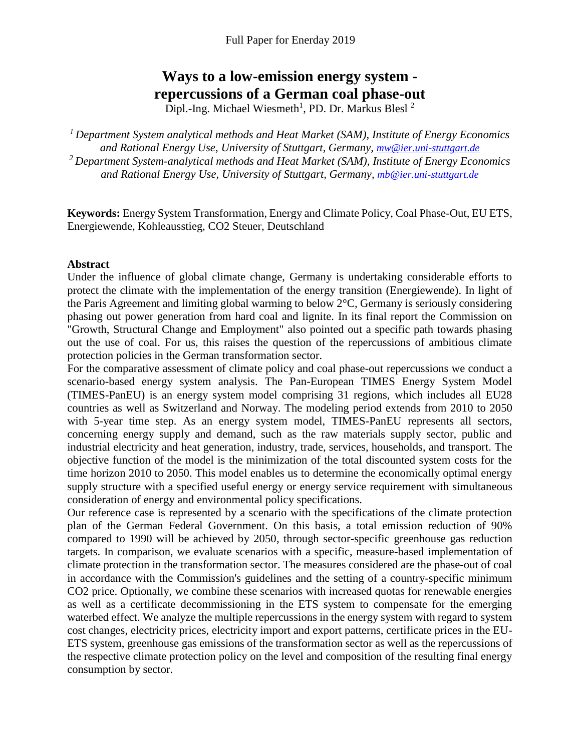# **Ways to a low-emission energy system repercussions of a German coal phase-out**

Dipl.-Ing. Michael Wiesmeth<sup>1</sup>, PD. Dr. Markus Blesl<sup>2</sup>

*<sup>1</sup>Department System analytical methods and Heat Market (SAM), Institute of Energy Economics and Rational Energy Use, University of Stuttgart, Germany, [mw@ier.uni-stuttgart.de](mailto:mw@ier.uni-stuttgart.de) <sup>2</sup> Department System-analytical methods and Heat Market (SAM), Institute of Energy Economics and Rational Energy Use, University of Stuttgart, Germany, [mb@ier.uni-stuttgart.de](mailto:mb@ier.uni-stuttgart.de)*

**Keywords:** Energy System Transformation, Energy and Climate Policy, Coal Phase-Out, EU ETS, Energiewende, Kohleausstieg, CO2 Steuer, Deutschland

#### **Abstract**

Under the influence of global climate change, Germany is undertaking considerable efforts to protect the climate with the implementation of the energy transition (Energiewende). In light of the Paris Agreement and limiting global warming to below 2°C, Germany is seriously considering phasing out power generation from hard coal and lignite. In its final report the Commission on "Growth, Structural Change and Employment" also pointed out a specific path towards phasing out the use of coal. For us, this raises the question of the repercussions of ambitious climate protection policies in the German transformation sector.

For the comparative assessment of climate policy and coal phase-out repercussions we conduct a scenario-based energy system analysis. The Pan-European TIMES Energy System Model (TIMES-PanEU) is an energy system model comprising 31 regions, which includes all EU28 countries as well as Switzerland and Norway. The modeling period extends from 2010 to 2050 with 5-year time step. As an energy system model, TIMES-PanEU represents all sectors, concerning energy supply and demand, such as the raw materials supply sector, public and industrial electricity and heat generation, industry, trade, services, households, and transport. The objective function of the model is the minimization of the total discounted system costs for the time horizon 2010 to 2050. This model enables us to determine the economically optimal energy supply structure with a specified useful energy or energy service requirement with simultaneous consideration of energy and environmental policy specifications.

Our reference case is represented by a scenario with the specifications of the climate protection plan of the German Federal Government. On this basis, a total emission reduction of 90% compared to 1990 will be achieved by 2050, through sector-specific greenhouse gas reduction targets. In comparison, we evaluate scenarios with a specific, measure-based implementation of climate protection in the transformation sector. The measures considered are the phase-out of coal in accordance with the Commission's guidelines and the setting of a country-specific minimum CO2 price. Optionally, we combine these scenarios with increased quotas for renewable energies as well as a certificate decommissioning in the ETS system to compensate for the emerging waterbed effect. We analyze the multiple repercussions in the energy system with regard to system cost changes, electricity prices, electricity import and export patterns, certificate prices in the EU-ETS system, greenhouse gas emissions of the transformation sector as well as the repercussions of the respective climate protection policy on the level and composition of the resulting final energy consumption by sector.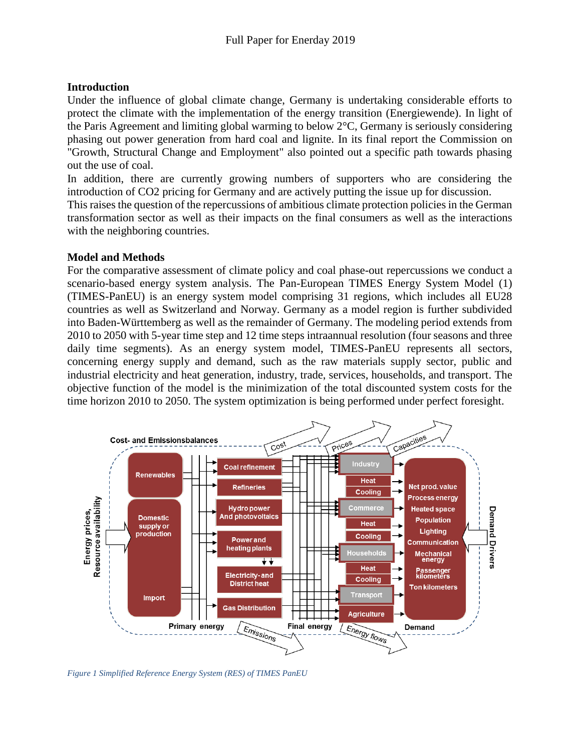### **Introduction**

Under the influence of global climate change, Germany is undertaking considerable efforts to protect the climate with the implementation of the energy transition (Energiewende). In light of the Paris Agreement and limiting global warming to below 2°C, Germany is seriously considering phasing out power generation from hard coal and lignite. In its final report the Commission on "Growth, Structural Change and Employment" also pointed out a specific path towards phasing out the use of coal.

In addition, there are currently growing numbers of supporters who are considering the introduction of CO2 pricing for Germany and are actively putting the issue up for discussion.

This raises the question of the repercussions of ambitious climate protection policies in the German transformation sector as well as their impacts on the final consumers as well as the interactions with the neighboring countries.

### **Model and Methods**

For the comparative assessment of climate policy and coal phase-out repercussions we conduct a scenario-based energy system analysis. The Pan-European TIMES Energy System Model (1) (TIMES-PanEU) is an energy system model comprising 31 regions, which includes all EU28 countries as well as Switzerland and Norway. Germany as a model region is further subdivided into Baden-Württemberg as well as the remainder of Germany. The modeling period extends from 2010 to 2050 with 5-year time step and 12 time steps intraannual resolution (four seasons and three daily time segments). As an energy system model, TIMES-PanEU represents all sectors, concerning energy supply and demand, such as the raw materials supply sector, public and industrial electricity and heat generation, industry, trade, services, households, and transport. The objective function of the model is the minimization of the total discounted system costs for the time horizon 2010 to 2050. The system optimization is being performed under perfect foresight.



*Figure 1 Simplified Reference Energy System (RES) of TIMES PanEU*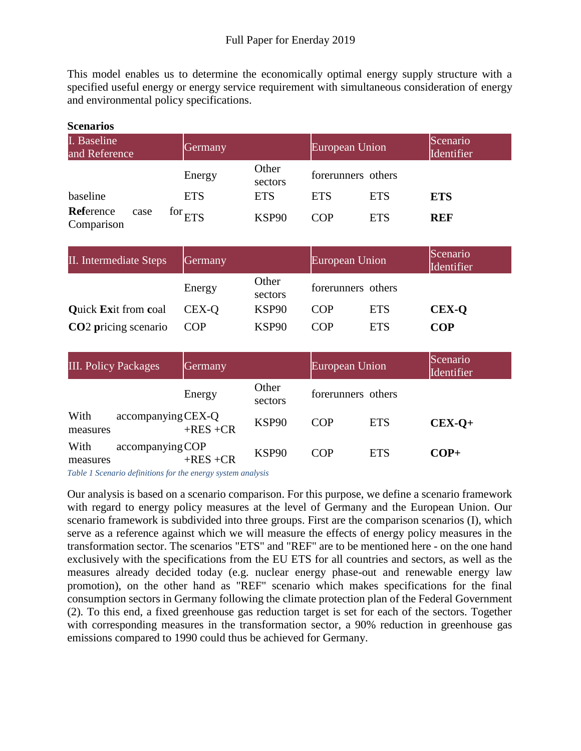This model enables us to determine the economically optimal energy supply structure with a specified useful energy or energy service requirement with simultaneous consideration of energy and environmental policy specifications.

| <b>Stellal IUS</b>           |      |                         |                  |            |                    |                        |  |  |  |
|------------------------------|------|-------------------------|------------------|------------|--------------------|------------------------|--|--|--|
| I. Baseline<br>and Reference |      | Germany                 |                  |            | European Union     | Scenario<br>Identifier |  |  |  |
|                              |      | Energy                  | Other<br>sectors |            | forerunners others |                        |  |  |  |
| baseline                     |      | <b>ETS</b>              | <b>ETS</b>       | <b>ETS</b> | <b>ETS</b>         | <b>ETS</b>             |  |  |  |
| Reference<br>Comparison      | case | $\frac{1}{2}$ for $ETS$ | KSP90            | COP        | <b>ETS</b>         | <b>REF</b>             |  |  |  |

| II. Intermediate Steps      | Germany    |                   | European Union |                    | Scenario<br>Identifier |
|-----------------------------|------------|-------------------|----------------|--------------------|------------------------|
|                             | Energy     | Other<br>sectors  |                | forerunners others |                        |
| <b>Quick Exit from coal</b> | CEX-Q      | KSP90             | COP            | <b>ETS</b>         | <b>CEX-Q</b>           |
| <b>CO2</b> pricing scenario | <b>COP</b> | KSP <sub>90</sub> | COP            | <b>ETS</b>         | COP                    |

| <b>III. Policy Packages</b> | Germany                           |                   | European Union |                    | Scenario<br>Identifier |
|-----------------------------|-----------------------------------|-------------------|----------------|--------------------|------------------------|
|                             | Energy                            | Other<br>sectors  |                | forerunners others |                        |
| With<br>measures            | accompanying CEX-Q<br>$+RES + CR$ | KSP90             | <b>COP</b>     | <b>ETS</b>         | $CEX-O+$               |
| With<br>measures            | accompanying COP<br>$+RES$ +CR    | KSP <sub>90</sub> | <b>COP</b>     | <b>ETS</b>         | $COP+$                 |

*Table 1 Scenario definitions for the energy system analysis*

**Scenarios**

Our analysis is based on a scenario comparison. For this purpose, we define a scenario framework with regard to energy policy measures at the level of Germany and the European Union. Our scenario framework is subdivided into three groups. First are the comparison scenarios (I), which serve as a reference against which we will measure the effects of energy policy measures in the transformation sector. The scenarios "ETS" and "REF" are to be mentioned here - on the one hand exclusively with the specifications from the EU ETS for all countries and sectors, as well as the measures already decided today (e.g. nuclear energy phase-out and renewable energy law promotion), on the other hand as "REF" scenario which makes specifications for the final consumption sectors in Germany following the climate protection plan of the Federal Government (2). To this end, a fixed greenhouse gas reduction target is set for each of the sectors. Together with corresponding measures in the transformation sector, a 90% reduction in greenhouse gas emissions compared to 1990 could thus be achieved for Germany.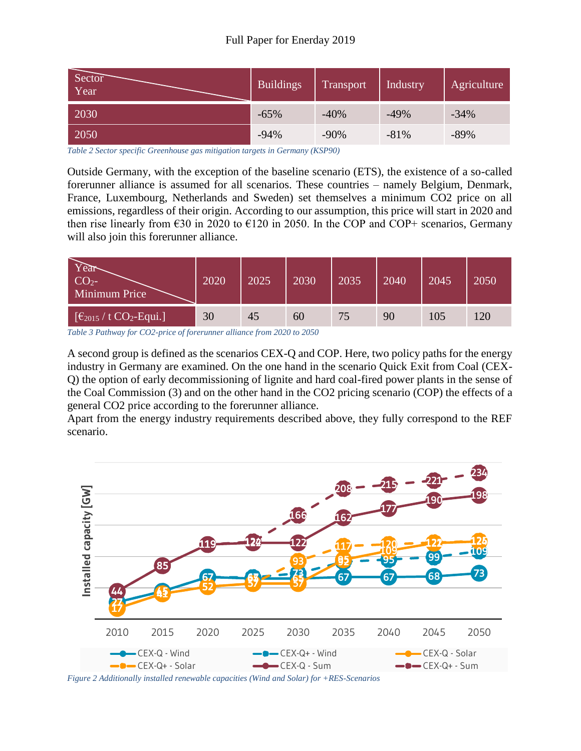| Sector<br>Year | <b>Buildings</b> | Transport | Industry | Agriculture |
|----------------|------------------|-----------|----------|-------------|
| 2030           | $-65%$           | $-40%$    | $-49%$   | $-34%$      |
| 2050           | $-94%$           | $-90%$    | $-81%$   | $-89%$      |

*Table 2 Sector specific Greenhouse gas mitigation targets in Germany (KSP90)*

Outside Germany, with the exception of the baseline scenario (ETS), the existence of a so-called forerunner alliance is assumed for all scenarios. These countries – namely Belgium, Denmark, France, Luxembourg, Netherlands and Sweden) set themselves a minimum CO2 price on all emissions, regardless of their origin. According to our assumption, this price will start in 2020 and then rise linearly from  $\epsilon$ 30 in 2020 to  $\epsilon$ 120 in 2050. In the COP and COP+ scenarios, Germany will also join this forerunner alliance.

| $CO2$ -<br>Minimum Price                                               | 2020 | 2025 | 2030 | 2035 | 2040 | 2045 | 2050 |
|------------------------------------------------------------------------|------|------|------|------|------|------|------|
| $\left[\frac{\epsilon_{2015}}{\iota}\right]$ t CO <sub>2</sub> -Equi.] | 30   | 45   | 60   | 75   | 90   | 105  | 120  |

*Table 3 Pathway for CO2-price of forerunner alliance from 2020 to 2050*

A second group is defined as the scenarios CEX-Q and COP. Here, two policy paths for the energy industry in Germany are examined. On the one hand in the scenario Quick Exit from Coal (CEX-Q) the option of early decommissioning of lignite and hard coal-fired power plants in the sense of the Coal Commission (3) and on the other hand in the CO2 pricing scenario (COP) the effects of a general CO2 price according to the forerunner alliance.

Apart from the energy industry requirements described above, they fully correspond to the REF scenario.



*Figure 2 Additionally installed renewable capacities (Wind and Solar) for +RES-Scenarios*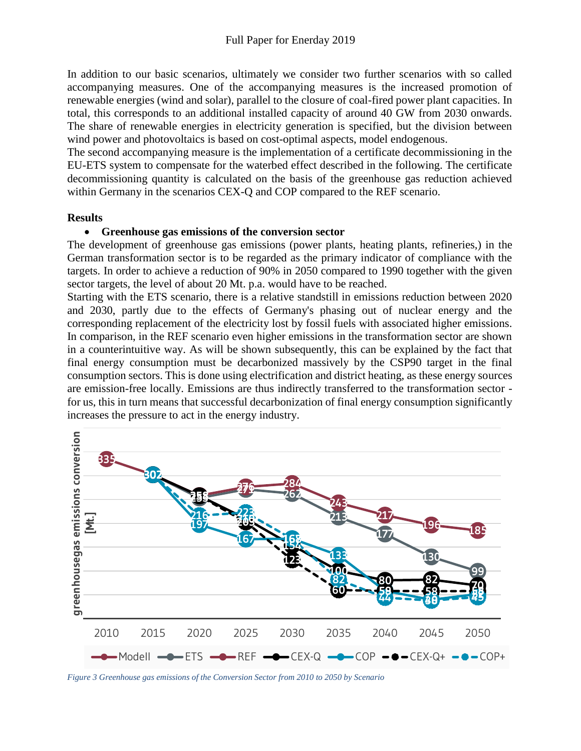In addition to our basic scenarios, ultimately we consider two further scenarios with so called accompanying measures. One of the accompanying measures is the increased promotion of renewable energies (wind and solar), parallel to the closure of coal-fired power plant capacities. In total, this corresponds to an additional installed capacity of around 40 GW from 2030 onwards. The share of renewable energies in electricity generation is specified, but the division between wind power and photovoltaics is based on cost-optimal aspects, model endogenous.

The second accompanying measure is the implementation of a certificate decommissioning in the EU-ETS system to compensate for the waterbed effect described in the following. The certificate decommissioning quantity is calculated on the basis of the greenhouse gas reduction achieved within Germany in the scenarios CEX-Q and COP compared to the REF scenario.

#### **Results**

### **Greenhouse gas emissions of the conversion sector**

The development of greenhouse gas emissions (power plants, heating plants, refineries,) in the German transformation sector is to be regarded as the primary indicator of compliance with the targets. In order to achieve a reduction of 90% in 2050 compared to 1990 together with the given sector targets, the level of about 20 Mt. p.a. would have to be reached.

Starting with the ETS scenario, there is a relative standstill in emissions reduction between 2020 and 2030, partly due to the effects of Germany's phasing out of nuclear energy and the corresponding replacement of the electricity lost by fossil fuels with associated higher emissions. In comparison, in the REF scenario even higher emissions in the transformation sector are shown in a counterintuitive way. As will be shown subsequently, this can be explained by the fact that final energy consumption must be decarbonized massively by the CSP90 target in the final consumption sectors. This is done using electrification and district heating, as these energy sources are emission-free locally. Emissions are thus indirectly transferred to the transformation sector for us, this in turn means that successful decarbonization of final energy consumption significantly increases the pressure to act in the energy industry.



*Figure 3 Greenhouse gas emissions of the Conversion Sector from 2010 to 2050 by Scenario*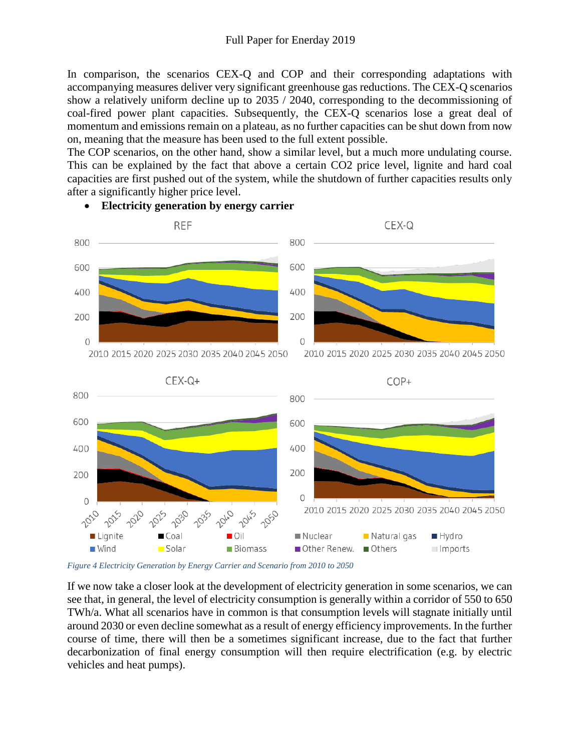In comparison, the scenarios CEX-Q and COP and their corresponding adaptations with accompanying measures deliver very significant greenhouse gas reductions. The CEX-Q scenarios show a relatively uniform decline up to 2035 / 2040, corresponding to the decommissioning of coal-fired power plant capacities. Subsequently, the CEX-Q scenarios lose a great deal of momentum and emissions remain on a plateau, as no further capacities can be shut down from now on, meaning that the measure has been used to the full extent possible.

The COP scenarios, on the other hand, show a similar level, but a much more undulating course. This can be explained by the fact that above a certain CO2 price level, lignite and hard coal capacities are first pushed out of the system, while the shutdown of further capacities results only after a significantly higher price level.



### **Electricity generation by energy carrier**

*Figure 4 Electricity Generation by Energy Carrier and Scenario from 2010 to 2050*

If we now take a closer look at the development of electricity generation in some scenarios, we can see that, in general, the level of electricity consumption is generally within a corridor of 550 to 650 TWh/a. What all scenarios have in common is that consumption levels will stagnate initially until around 2030 or even decline somewhat as a result of energy efficiency improvements. In the further course of time, there will then be a sometimes significant increase, due to the fact that further decarbonization of final energy consumption will then require electrification (e.g. by electric vehicles and heat pumps).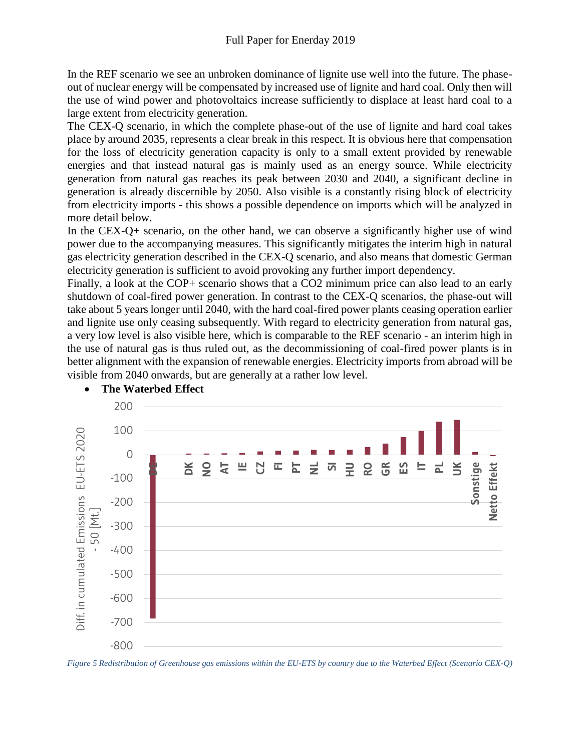In the REF scenario we see an unbroken dominance of lignite use well into the future. The phaseout of nuclear energy will be compensated by increased use of lignite and hard coal. Only then will the use of wind power and photovoltaics increase sufficiently to displace at least hard coal to a large extent from electricity generation.

The CEX-Q scenario, in which the complete phase-out of the use of lignite and hard coal takes place by around 2035, represents a clear break in this respect. It is obvious here that compensation for the loss of electricity generation capacity is only to a small extent provided by renewable energies and that instead natural gas is mainly used as an energy source. While electricity generation from natural gas reaches its peak between 2030 and 2040, a significant decline in generation is already discernible by 2050. Also visible is a constantly rising block of electricity from electricity imports - this shows a possible dependence on imports which will be analyzed in more detail below.

In the CEX-Q+ scenario, on the other hand, we can observe a significantly higher use of wind power due to the accompanying measures. This significantly mitigates the interim high in natural gas electricity generation described in the CEX-Q scenario, and also means that domestic German electricity generation is sufficient to avoid provoking any further import dependency.

Finally, a look at the COP+ scenario shows that a CO2 minimum price can also lead to an early shutdown of coal-fired power generation. In contrast to the CEX-Q scenarios, the phase-out will take about 5 years longer until 2040, with the hard coal-fired power plants ceasing operation earlier and lignite use only ceasing subsequently. With regard to electricity generation from natural gas, a very low level is also visible here, which is comparable to the REF scenario - an interim high in the use of natural gas is thus ruled out, as the decommissioning of coal-fired power plants is in better alignment with the expansion of renewable energies. Electricity imports from abroad will be visible from 2040 onwards, but are generally at a rather low level.



# **The Waterbed Effect**

*Figure 5 Redistribution of Greenhouse gas emissions within the EU-ETS by country due to the Waterbed Effect (Scenario CEX-Q)*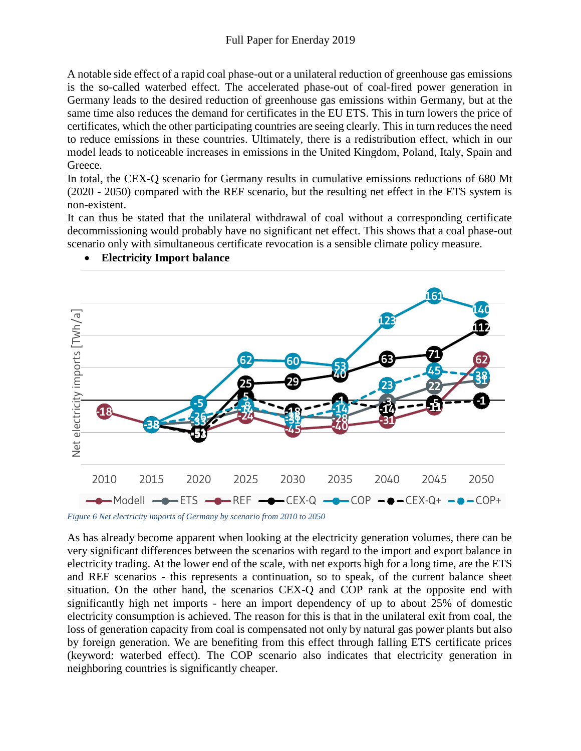A notable side effect of a rapid coal phase-out or a unilateral reduction of greenhouse gas emissions is the so-called waterbed effect. The accelerated phase-out of coal-fired power generation in Germany leads to the desired reduction of greenhouse gas emissions within Germany, but at the same time also reduces the demand for certificates in the EU ETS. This in turn lowers the price of certificates, which the other participating countries are seeing clearly. This in turn reduces the need to reduce emissions in these countries. Ultimately, there is a redistribution effect, which in our model leads to noticeable increases in emissions in the United Kingdom, Poland, Italy, Spain and Greece.

In total, the CEX-Q scenario for Germany results in cumulative emissions reductions of 680 Mt (2020 - 2050) compared with the REF scenario, but the resulting net effect in the ETS system is non-existent.

It can thus be stated that the unilateral withdrawal of coal without a corresponding certificate decommissioning would probably have no significant net effect. This shows that a coal phase-out scenario only with simultaneous certificate revocation is a sensible climate policy measure.



### **Electricity Import balance**

*Figure 6 Net electricity imports of Germany by scenario from 2010 to 2050*

As has already become apparent when looking at the electricity generation volumes, there can be very significant differences between the scenarios with regard to the import and export balance in electricity trading. At the lower end of the scale, with net exports high for a long time, are the ETS and REF scenarios - this represents a continuation, so to speak, of the current balance sheet situation. On the other hand, the scenarios CEX-Q and COP rank at the opposite end with significantly high net imports - here an import dependency of up to about 25% of domestic electricity consumption is achieved. The reason for this is that in the unilateral exit from coal, the loss of generation capacity from coal is compensated not only by natural gas power plants but also by foreign generation. We are benefiting from this effect through falling ETS certificate prices (keyword: waterbed effect). The COP scenario also indicates that electricity generation in neighboring countries is significantly cheaper.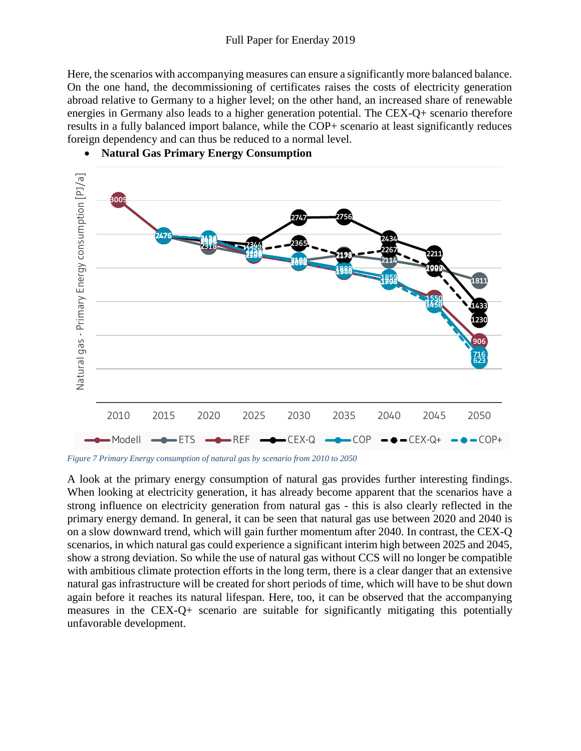Here, the scenarios with accompanying measures can ensure a significantly more balanced balance. On the one hand, the decommissioning of certificates raises the costs of electricity generation abroad relative to Germany to a higher level; on the other hand, an increased share of renewable energies in Germany also leads to a higher generation potential. The CEX-Q+ scenario therefore results in a fully balanced import balance, while the COP+ scenario at least significantly reduces foreign dependency and can thus be reduced to a normal level.



**Natural Gas Primary Energy Consumption**

*Figure 7 Primary Energy consumption of natural gas by scenario from 2010 to 2050*

A look at the primary energy consumption of natural gas provides further interesting findings. When looking at electricity generation, it has already become apparent that the scenarios have a strong influence on electricity generation from natural gas - this is also clearly reflected in the primary energy demand. In general, it can be seen that natural gas use between 2020 and 2040 is on a slow downward trend, which will gain further momentum after 2040. In contrast, the CEX-Q scenarios, in which natural gas could experience a significant interim high between 2025 and 2045, show a strong deviation. So while the use of natural gas without CCS will no longer be compatible with ambitious climate protection efforts in the long term, there is a clear danger that an extensive natural gas infrastructure will be created for short periods of time, which will have to be shut down again before it reaches its natural lifespan. Here, too, it can be observed that the accompanying measures in the CEX-Q+ scenario are suitable for significantly mitigating this potentially unfavorable development.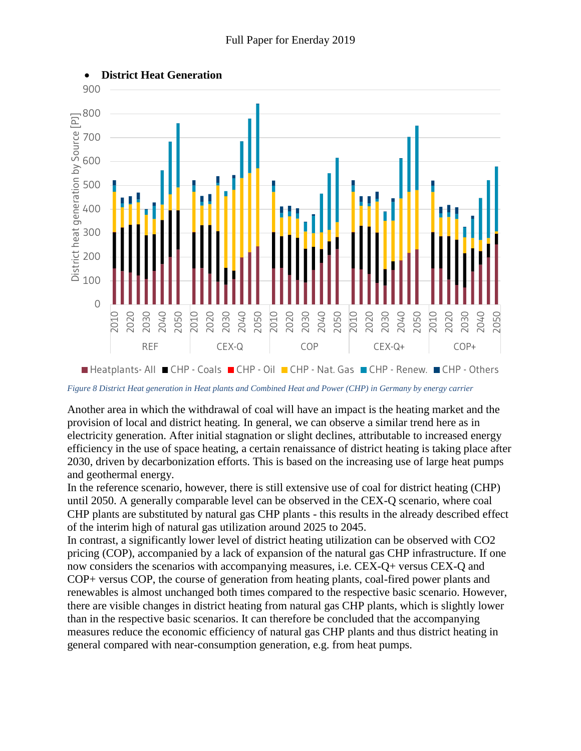

*Figure 8 District Heat generation in Heat plants and Combined Heat and Power (CHP) in Germany by energy carrier*

Another area in which the withdrawal of coal will have an impact is the heating market and the provision of local and district heating. In general, we can observe a similar trend here as in electricity generation. After initial stagnation or slight declines, attributable to increased energy efficiency in the use of space heating, a certain renaissance of district heating is taking place after 2030, driven by decarbonization efforts. This is based on the increasing use of large heat pumps and geothermal energy.

In the reference scenario, however, there is still extensive use of coal for district heating (CHP) until 2050. A generally comparable level can be observed in the CEX-Q scenario, where coal CHP plants are substituted by natural gas CHP plants - this results in the already described effect of the interim high of natural gas utilization around 2025 to 2045.

In contrast, a significantly lower level of district heating utilization can be observed with CO2 pricing (COP), accompanied by a lack of expansion of the natural gas CHP infrastructure. If one now considers the scenarios with accompanying measures, i.e. CEX-Q+ versus CEX-Q and COP+ versus COP, the course of generation from heating plants, coal-fired power plants and renewables is almost unchanged both times compared to the respective basic scenario. However, there are visible changes in district heating from natural gas CHP plants, which is slightly lower than in the respective basic scenarios. It can therefore be concluded that the accompanying measures reduce the economic efficiency of natural gas CHP plants and thus district heating in general compared with near-consumption generation, e.g. from heat pumps.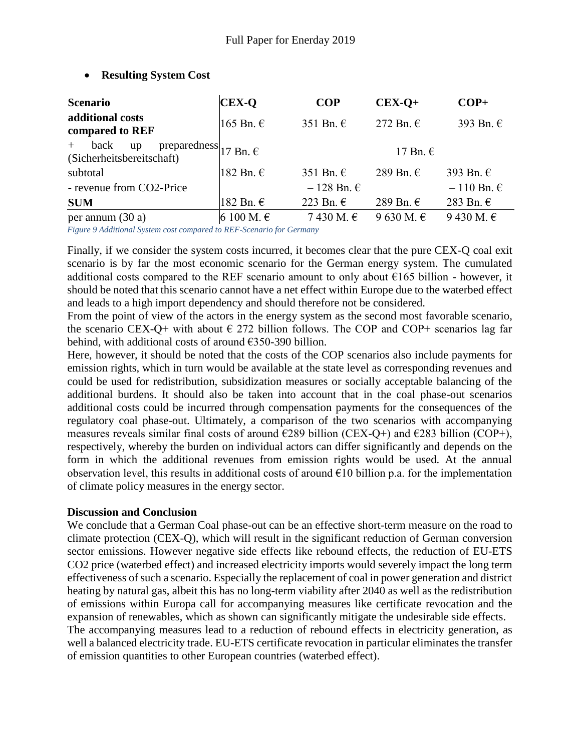| <b>Scenario</b>                                                                           | <b>CEX-O</b> | <b>COP</b>            | $CEX-O+$            | $COP+$                |
|-------------------------------------------------------------------------------------------|--------------|-----------------------|---------------------|-----------------------|
| additional costs<br>compared to REF                                                       | $165$ Bn. €  | 351 Bn. $\epsilon$    | 272 Bn. $\epsilon$  | 393 Bn. €             |
| back<br>$+$<br>preparedness $ 17 Bn \text{m} \epsilon$<br>up<br>(Sicherheitsbereitschaft) |              |                       | 17 Bn. $\epsilon$   |                       |
| subtotal                                                                                  | 182 Bn. €    | 351 Bn. $\epsilon$    | 289 Bn. $\in$       | 393 Bn. $\epsilon$    |
| - revenue from CO2-Price                                                                  |              | $-128$ Bn. $\epsilon$ |                     | $-110$ Bn. $\epsilon$ |
| <b>SUM</b>                                                                                | 182 Bn. €    | 223 Bn. $\epsilon$    | 289 Bn. $\epsilon$  | 283 Bn. $\epsilon$    |
| per annum $(30a)$                                                                         | 6 100 M. €   | 7430 M. €             | 9 630 M. $\epsilon$ | 9 430 M. €            |

# **Resulting System Cost**

*Figure 9 Additional System cost compared to REF-Scenario for Germany*

Finally, if we consider the system costs incurred, it becomes clear that the pure CEX-Q coal exit scenario is by far the most economic scenario for the German energy system. The cumulated additional costs compared to the REF scenario amount to only about  $\epsilon$ 165 billion - however, it should be noted that this scenario cannot have a net effect within Europe due to the waterbed effect and leads to a high import dependency and should therefore not be considered.

From the point of view of the actors in the energy system as the second most favorable scenario, the scenario CEX-Q+ with about  $\epsilon$  272 billion follows. The COP and COP+ scenarios lag far behind, with additional costs of around €350-390 billion.

Here, however, it should be noted that the costs of the COP scenarios also include payments for emission rights, which in turn would be available at the state level as corresponding revenues and could be used for redistribution, subsidization measures or socially acceptable balancing of the additional burdens. It should also be taken into account that in the coal phase-out scenarios additional costs could be incurred through compensation payments for the consequences of the regulatory coal phase-out. Ultimately, a comparison of the two scenarios with accompanying measures reveals similar final costs of around  $\epsilon$ 289 billion (CEX-Q+) and  $\epsilon$ 283 billion (COP+), respectively, whereby the burden on individual actors can differ significantly and depends on the form in which the additional revenues from emission rights would be used. At the annual observation level, this results in additional costs of around  $\epsilon$ 10 billion p.a. for the implementation of climate policy measures in the energy sector.

### **Discussion and Conclusion**

We conclude that a German Coal phase-out can be an effective short-term measure on the road to climate protection (CEX-Q), which will result in the significant reduction of German conversion sector emissions. However negative side effects like rebound effects, the reduction of EU-ETS CO2 price (waterbed effect) and increased electricity imports would severely impact the long term effectiveness of such a scenario. Especially the replacement of coal in power generation and district heating by natural gas, albeit this has no long-term viability after 2040 as well as the redistribution of emissions within Europa call for accompanying measures like certificate revocation and the expansion of renewables, which as shown can significantly mitigate the undesirable side effects. The accompanying measures lead to a reduction of rebound effects in electricity generation, as well a balanced electricity trade. EU-ETS certificate revocation in particular eliminates the transfer of emission quantities to other European countries (waterbed effect).